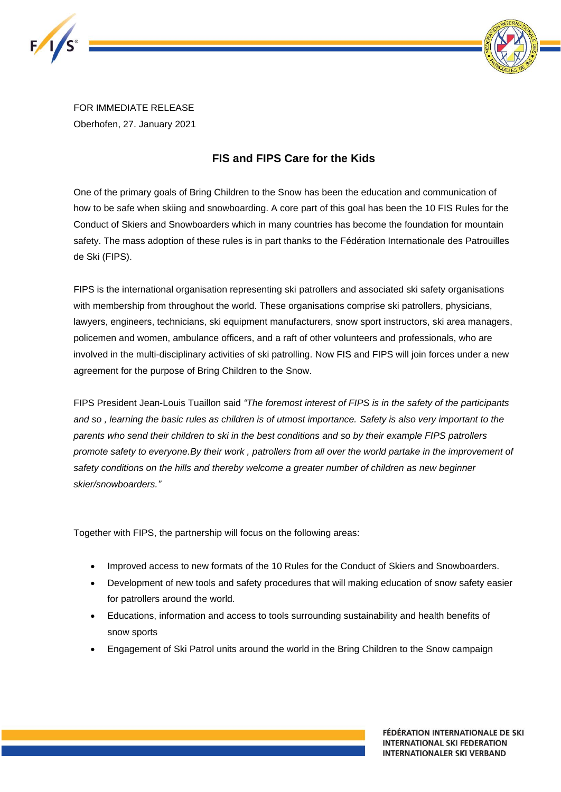



FOR IMMEDIATE RELEASE Oberhofen, 27. January 2021

## **FIS and FIPS Care for the Kids**

One of the primary goals of Bring Children to the Snow has been the education and communication of how to be safe when skiing and snowboarding. A core part of this goal has been the 10 FIS Rules for the Conduct of Skiers and Snowboarders which in many countries has become the foundation for mountain safety. The mass adoption of these rules is in part thanks to the Fédération Internationale des Patrouilles de Ski (FIPS).

FIPS is the international organisation representing ski patrollers and associated ski safety organisations with membership from throughout the world. These organisations comprise ski patrollers, physicians, lawyers, engineers, technicians, ski equipment manufacturers, snow sport instructors, ski area managers, policemen and women, ambulance officers, and a raft of other volunteers and professionals, who are involved in the multi-disciplinary activities of ski patrolling. Now FIS and FIPS will join forces under a new agreement for the purpose of Bring Children to the Snow.

FIPS President Jean-Louis Tuaillon said *"The foremost interest of FIPS is in the safety of the participants and so , learning the basic rules as children is of utmost importance. Safety is also very important to the parents who send their children to ski in the best conditions and so by their example FIPS patrollers promote safety to everyone.By their work , patrollers from all over the world partake in the improvement of safety conditions on the hills and thereby welcome a greater number of children as new beginner skier/snowboarders."*

Together with FIPS, the partnership will focus on the following areas:

- Improved access to new formats of the 10 Rules for the Conduct of Skiers and Snowboarders.
- Development of new tools and safety procedures that will making education of snow safety easier for patrollers around the world.
- Educations, information and access to tools surrounding sustainability and health benefits of snow sports
- Engagement of Ski Patrol units around the world in the Bring Children to the Snow campaign